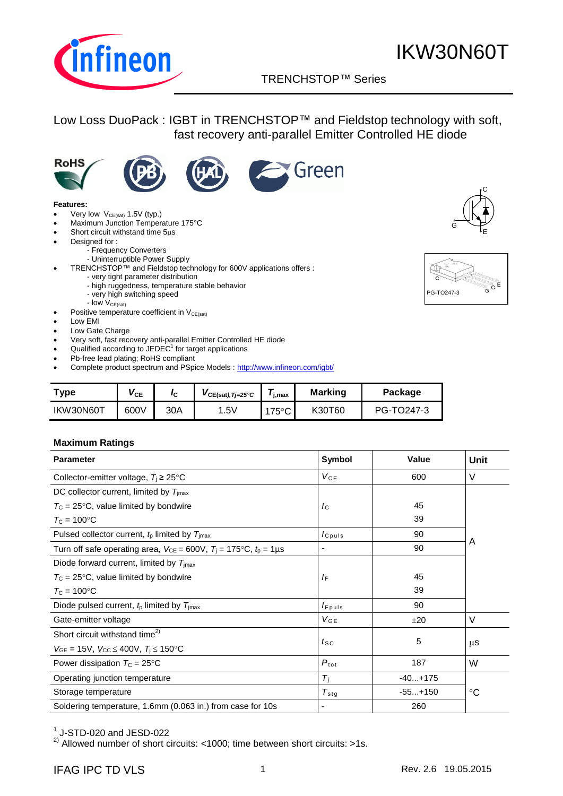

## TRENCHSTOP™ Series q

Green

## Low Loss DuoPack : IGBT in TRENCHSTOP™ and Fieldstop technology with soft, fast recovery anti-parallel Emitter Controlled HE diode





#### **Features:**

- Very low  $V_{CE(sat)}$  1.5V (typ.)
- Maximum Junction Temperature 175°C
- $\bullet$  Short circuit withstand time  $5\mu s$
- Designed for :
	- Frequency Converters
		- Uninterruptible Power Supply
	- TRENCHSTOP™ and Fieldstop technology for 600V applications offers :
		- very tight parameter distribution
		- high ruggedness, temperature stable behavior
		- very high switching speed
	- $-$  low  $V_{CE(sat)}$
- Positive temperature coefficient in  $V_{CE(sat)}$
- Low EMI
- Low Gate Charge
- Very soft, fast recovery anti-parallel Emitter Controlled HE diode
- Qualified according to  $JEDEC<sup>1</sup>$  for target applications
- Pb-free lead plating; RoHS compliant
- Complete product spectrum and PSpice Models : <http://www.infineon.com/igbt/>

| Type      | ѴсЕ  | Ιc  | $VCE(sat),Tj=25°C$ | i.max         | <b>Marking</b> | Package    |
|-----------|------|-----|--------------------|---------------|----------------|------------|
| IKW30N60T | 600V | 30A | .5V                | $175^{\circ}$ | K30T60         | PG-TO247-3 |

#### **Maximum Ratings**

| <b>Parameter</b>                                                                       | <b>Symbol</b>                 | <b>Value</b> | Unit        |  |
|----------------------------------------------------------------------------------------|-------------------------------|--------------|-------------|--|
| Collector-emitter voltage, $T_i \geq 25^{\circ}C$                                      | $V_{CE}$                      | 600          | V           |  |
| DC collector current, limited by $T_{\text{imax}}$                                     |                               |              |             |  |
| $T_{\rm C}$ = 25°C, value limited by bondwire                                          | $I_{\rm C}$                   | 45           |             |  |
| $T_{\rm C}$ = 100°C                                                                    |                               | 39           |             |  |
| Pulsed collector current, $t_p$ limited by $T_{\text{jmax}}$                           | <i>c</i> <sub>puls</sub>      | 90           |             |  |
| Turn off safe operating area, $V_{CE} = 600V$ , $T_i = 175^{\circ}C$ , $t_p = 1 \mu s$ | $\overline{\phantom{a}}$      | 90           | A           |  |
| Diode forward current, limited by $T_{\text{imax}}$                                    |                               |              |             |  |
| $T_{\rm C}$ = 25°C, value limited by bondwire                                          | $I_{\mathsf{F}}$              | 45           |             |  |
| $T_c = 100$ °C                                                                         |                               | 39           |             |  |
| Diode pulsed current, $tp$ limited by $Timax$                                          | $I_{F^{p}uls}$                | 90           |             |  |
| Gate-emitter voltage                                                                   | $V_{GE}$                      | ±20          | V           |  |
| Short circuit withstand time <sup>2)</sup>                                             |                               |              |             |  |
| $V_{GE}$ = 15V, $V_{CC} \le 400V$ , $T_i \le 150$ °C                                   | $t_{\scriptstyle\textrm{SC}}$ | 5            | μS          |  |
| Power dissipation $T_c = 25^{\circ}C$                                                  | $P_{\rm tot}$                 | 187          | W           |  |
| Operating junction temperature                                                         | $T_{\rm i}$                   | $-40+175$    |             |  |
| Storage temperature                                                                    | $T_{\rm stg}$                 | $-55+150$    | $^{\circ}C$ |  |
| Soldering temperature, 1.6mm (0.063 in.) from case for 10s                             | $\overline{\phantom{a}}$      | 260          |             |  |

 $^1$  J-STD-020 and JESD-022

<sup>2)</sup> Allowed number of short circuits: <1000; time between short circuits: >1s.



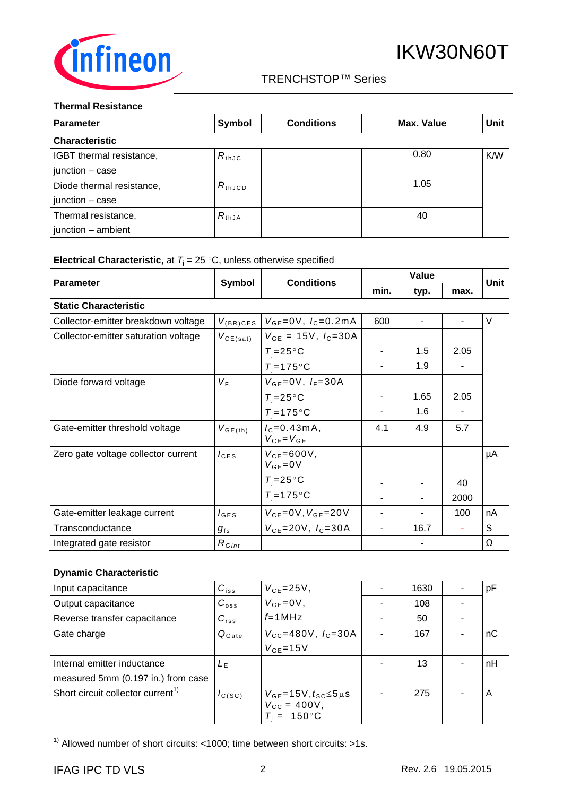

#### **Thermal Resistance**

| <b>Parameter</b>          | <b>Symbol</b>      | <b>Conditions</b> | Max. Value | Unit       |
|---------------------------|--------------------|-------------------|------------|------------|
| <b>Characteristic</b>     |                    |                   |            |            |
| IGBT thermal resistance,  | $R_{th,JC}$        |                   | 0.80       | <b>K/W</b> |
| junction - case           |                    |                   |            |            |
| Diode thermal resistance, | $R_{\text{thJCD}}$ |                   | 1.05       |            |
| junction - case           |                    |                   |            |            |
| Thermal resistance,       | $R_{thJA}$         |                   | 40         |            |
| junction - ambient        |                    |                   |            |            |

## **Electrical Characteristic,** at  $T_j = 25 \degree C$ , unless otherwise specified

| <b>Parameter</b>                     | <b>Symbol</b>    | <b>Conditions</b>                    | Value |                |      | Unit |
|--------------------------------------|------------------|--------------------------------------|-------|----------------|------|------|
|                                      |                  |                                      | min.  | typ.           | max. |      |
| <b>Static Characteristic</b>         |                  |                                      |       |                |      |      |
| Collector-emitter breakdown voltage  | $V_{(BR)CES}$    | $V_{GE} = 0V$ , $I_C = 0.2mA$        | 600   | $\blacksquare$ |      | V    |
| Collector-emitter saturation voltage | $V_{CE(sat)}$    | $V_{GE}$ = 15V, $I_C$ =30A           |       |                |      |      |
|                                      |                  | $T_i = 25^\circ \text{C}$            |       | 1.5            | 2.05 |      |
|                                      |                  | $T_i = 175$ °C                       |       | 1.9            |      |      |
| Diode forward voltage                | $V_{\rm F}$      | $V_{GE} = 0V, I_F = 30A$             |       |                |      |      |
|                                      |                  | $T_i = 25^{\circ}C$                  |       | 1.65           | 2.05 |      |
|                                      |                  | $T_i = 175$ °C                       |       | 1.6            |      |      |
| Gate-emitter threshold voltage       | $V_{GE(th)}$     | $I_c = 0.43mA,$<br>$V_{CE} = V_{GE}$ | 4.1   | 4.9            | 5.7  |      |
| Zero gate voltage collector current  | $I_{CES}$        | $V_{CF}$ =600V,<br>$V_{GE} = 0V$     |       |                |      | μA   |
|                                      |                  | $T_i = 25^{\circ}C$                  |       |                | 40   |      |
|                                      |                  | $T_i = 175$ °C                       |       |                | 2000 |      |
| Gate-emitter leakage current         | $I_{\text{GES}}$ | $V_{CE} = 0V, V_{GE} = 20V$          |       |                | 100  | nA   |
| Transconductance                     | $g_{\rm fs}$     | $V_{CE} = 20V$ , $I_C = 30A$         | ٠     | 16.7           |      | S    |
| Integrated gate resistor             | $R_{Gint}$       |                                      |       |                |      | Ω    |

#### **Dynamic Characteristic**

| Input capacitance                             | $C_{iss}$         | $V_{CE} = 25V$ ,                                                                 | 1630 | pF |
|-----------------------------------------------|-------------------|----------------------------------------------------------------------------------|------|----|
| Output capacitance                            | $C_{\text{oss}}$  | $V_{GE} = 0V$ ,                                                                  | 108  |    |
| Reverse transfer capacitance                  | $C_{\text{rss}}$  | $f = 1$ MHz                                                                      | 50   |    |
| Gate charge                                   | $Q_{\text{Gate}}$ | $V_{\text{CC}} = 480 \text{V}$ , $I_{\text{C}} = 30 \text{A}$                    | 167  | nC |
|                                               |                   | $V_{GE}$ =15V                                                                    |      |    |
| Internal emitter inductance                   | $L_{E}$           |                                                                                  | 13   | nH |
| measured 5mm (0.197 in.) from case            |                   |                                                                                  |      |    |
| Short circuit collector current <sup>1)</sup> | $I_{C(SC)}$       | $V_{GE}$ =15V, $t_{SC}$ ≤5µs<br>$V_{\text{CC}} = 400V$ ,<br>$T_i = 150^{\circ}C$ | 275  | A  |

<sup>1)</sup> Allowed number of short circuits: <1000; time between short circuits: >1s.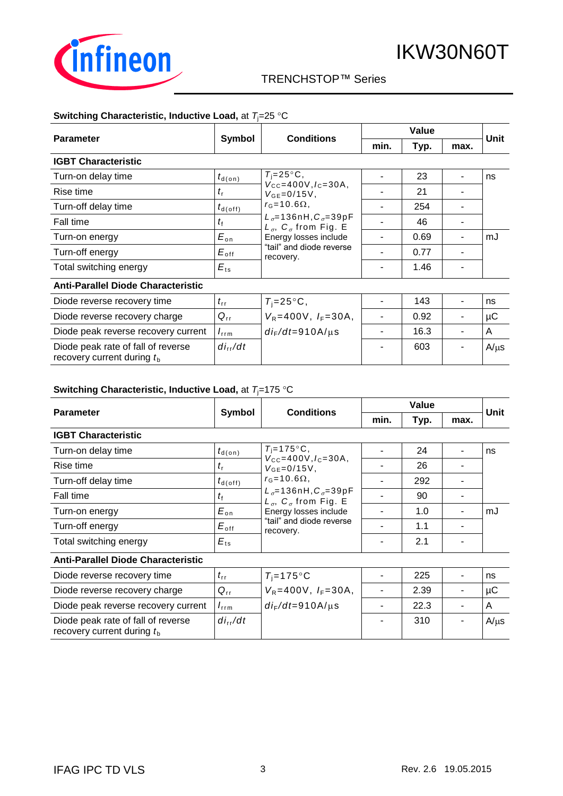

## TRENCHSTOP™ Series q

### **Switching Characteristic, Inductive Load, at**  $T_j = 25 \text{ °C}$

|                                                                    | Symbol               | <b>Conditions</b>                                                                                                                                                                        | Value |      |      |           |
|--------------------------------------------------------------------|----------------------|------------------------------------------------------------------------------------------------------------------------------------------------------------------------------------------|-------|------|------|-----------|
| <b>Parameter</b>                                                   |                      |                                                                                                                                                                                          | min.  | Typ. | max. | Unit      |
| <b>IGBT Characteristic</b>                                         |                      |                                                                                                                                                                                          |       |      |      |           |
| Turn-on delay time                                                 | $t_{\textsf{d}(on)}$ | $T_i = 25^\circ \text{C}$ ,                                                                                                                                                              |       | 23   |      | ns        |
| Rise time                                                          | $t_{\rm r}$          | $V_{\text{CC}} = 400V, I_{\text{C}} = 30A$ ,<br>$V_{GF} = 0/15V$ ,                                                                                                                       |       | 21   |      |           |
| Turn-off delay time                                                | $t_{\sf d(\sf off)}$ | $r_{\rm G}$ =10.6 $\Omega$ ,<br>$L_{\sigma} = 136$ nH, $C_{\sigma} = 39$ pF<br>$L_{\sigma}$ , $C_{\sigma}$ from Fig. E<br>Energy losses include<br>"tail" and diode reverse<br>recovery. |       | 254  |      |           |
| Fall time                                                          | $t_{\rm f}$          |                                                                                                                                                                                          |       | 46   |      |           |
| Turn-on energy                                                     | $E_{\rm on}$         |                                                                                                                                                                                          |       | 0.69 |      | mJ        |
| Turn-off energy                                                    | $E_{\rm off}$        |                                                                                                                                                                                          |       | 0.77 |      |           |
| Total switching energy                                             | $E_{ts}$             |                                                                                                                                                                                          |       | 1.46 |      |           |
| <b>Anti-Parallel Diode Characteristic</b>                          |                      |                                                                                                                                                                                          |       |      |      |           |
| Diode reverse recovery time                                        | $t_{\rm rr}$         | $T_i = 25^{\circ}C$ ,                                                                                                                                                                    |       | 143  |      | ns        |
| Diode reverse recovery charge                                      | $Q_{rr}$             | $V_R = 400V$ , $I_F = 30A$ ,                                                                                                                                                             |       | 0.92 |      | μC        |
| Diode peak reverse recovery current                                | $I_{\text{rrm}}$     | $di_F/dt = 910A/\mu s$                                                                                                                                                                   |       | 16.3 |      | A         |
| Diode peak rate of fall of reverse<br>recovery current during $tb$ | $di_{rr}/dt$         |                                                                                                                                                                                          |       | 603  |      | $A/\mu s$ |

#### **Switching Characteristic, Inductive Load, at**  $T = 175$  **°C**

| <b>Parameter</b>                          | Symbol              |                                                                                                                                                                                                                                         | Value |      |      | Unit |
|-------------------------------------------|---------------------|-----------------------------------------------------------------------------------------------------------------------------------------------------------------------------------------------------------------------------------------|-------|------|------|------|
|                                           |                     | <b>Conditions</b>                                                                                                                                                                                                                       | min.  | Typ. | max. |      |
| <b>IGBT Characteristic</b>                |                     |                                                                                                                                                                                                                                         |       |      |      |      |
| Turn-on delay time                        | $t_{\text{d}(on)}$  | $T_i = 175$ °C,<br>$V_{\text{CC}} = 400V, I_{\text{C}} = 30A,$<br>$V_{GE} = 0/15V$ ,<br>$r_{\rm G}$ =10.6 $\Omega$ ,<br>$L_{\sigma} = 136$ nH, $C_{\sigma} = 39$ pF<br>$L_{\sigma}$ , $C_{\sigma}$ from Fig. E<br>Energy losses include |       | 24   |      | ns   |
| Rise time                                 | $t_{\rm r}$         |                                                                                                                                                                                                                                         |       | 26   |      |      |
| Turn-off delay time                       | $t_{d(\text{off})}$ |                                                                                                                                                                                                                                         |       | 292  |      |      |
| Fall time                                 | $t_{\rm f}$         |                                                                                                                                                                                                                                         |       | 90   |      |      |
| Turn-on energy                            | $E_{\text{on}}$     |                                                                                                                                                                                                                                         |       | 1.0  |      | mJ   |
| Turn-off energy                           | $E_{\mathsf{off}}$  | "tail" and diode reverse<br>recovery.                                                                                                                                                                                                   |       | 1.1  |      |      |
| Total switching energy                    | $E_{ts}$            |                                                                                                                                                                                                                                         |       | 2.1  |      |      |
| <b>Anti-Parallel Diode Characteristic</b> |                     |                                                                                                                                                                                                                                         |       |      |      |      |
| Diode reverse recovery time               | $t_{\rm rr}$        | $T_i = 175$ °C                                                                                                                                                                                                                          |       | 225  |      | ns   |
| Diode reverse recovery charge             | $Q_{rr}$            | $V_R = 400V$ , $I_F = 30A$ ,                                                                                                                                                                                                            |       | 2.39 |      | μC   |
| Diode peak reverse recovery current       | $I_{\text{rrm}}$    | $di_F/dt = 910A/\mu s$                                                                                                                                                                                                                  |       | 22.3 |      | A    |

*di*r r */dt* - 310 - A/s

Diode peak rate of fall of reverse

recovery current during  $t_{\text{b}}$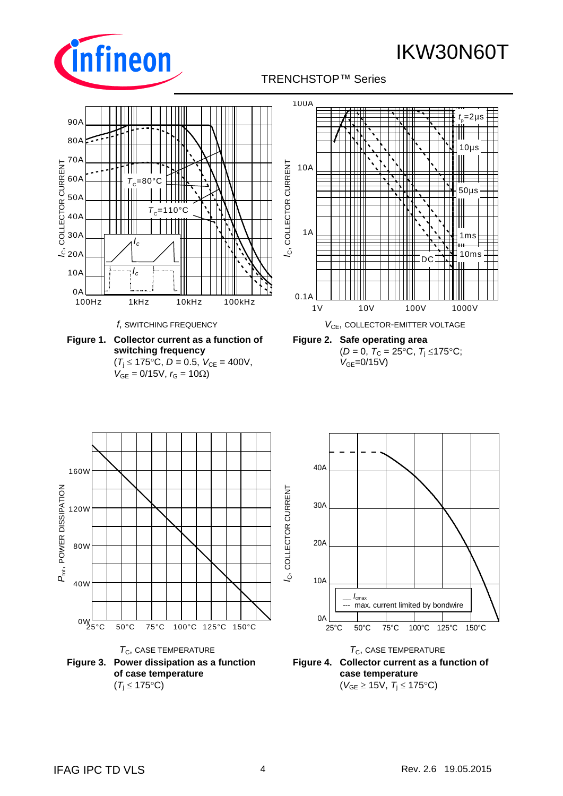

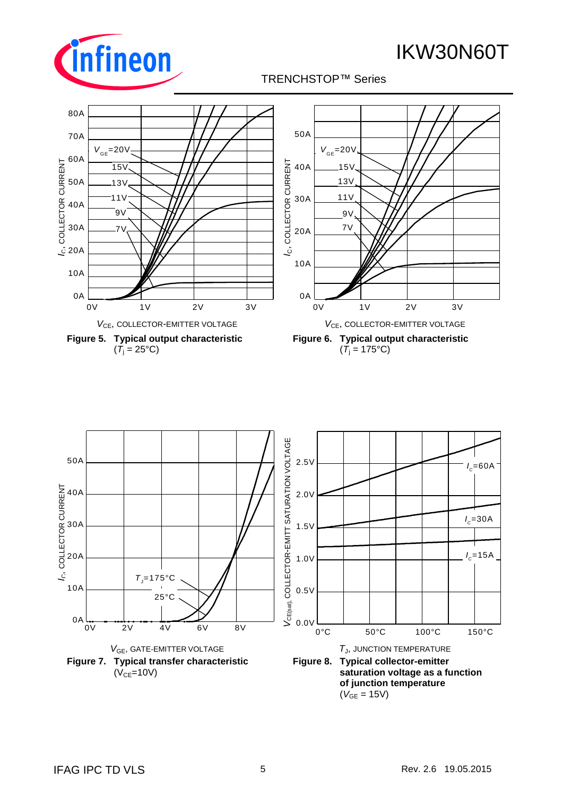





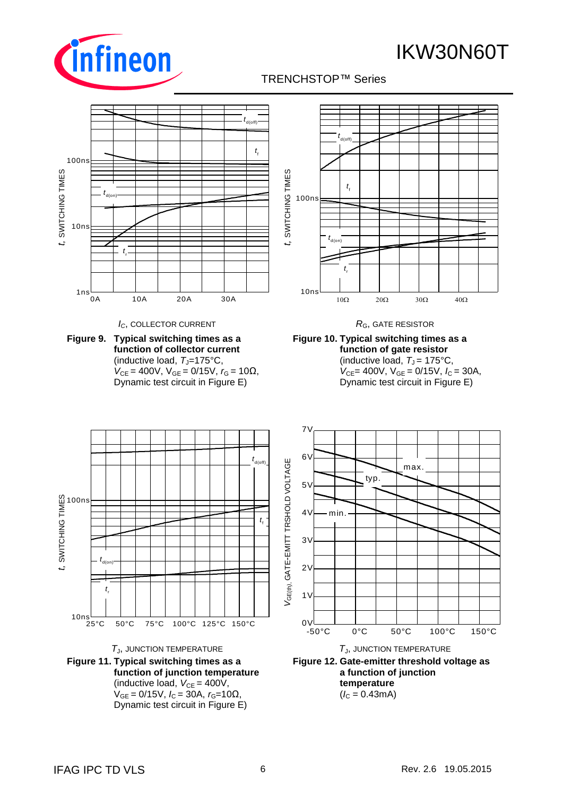

## TRENCHSTOP™ Series q



**Figure 12. Gate-emitter threshold voltage as a function of junction temperature**  $(I_C = 0.43 \text{mA})$ 

**Figure 11. Typical switching times as a** 

**function of junction temperature** (inductive load,  $V_{CE} = 400V$ ,  $V_{GE} = 0/15V$ ,  $I_C = 30A$ ,  $r_G = 10Ω$ , Dynamic test circuit in Figure E)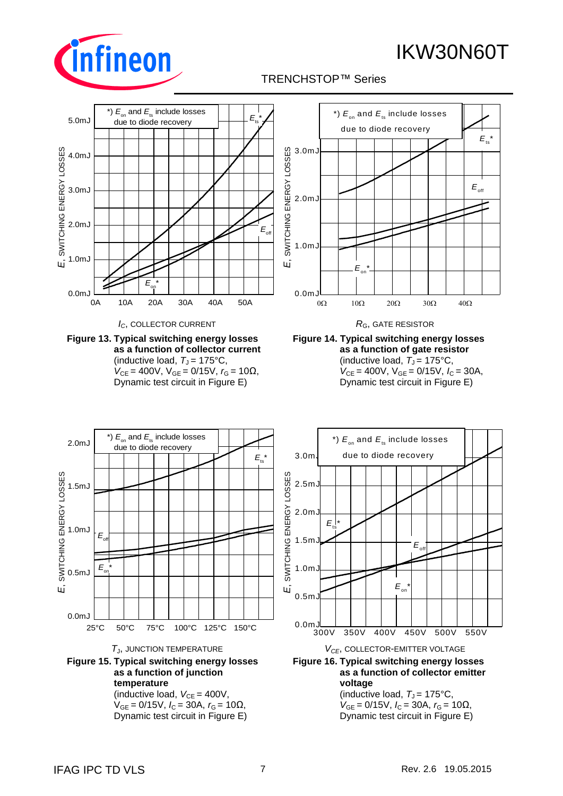





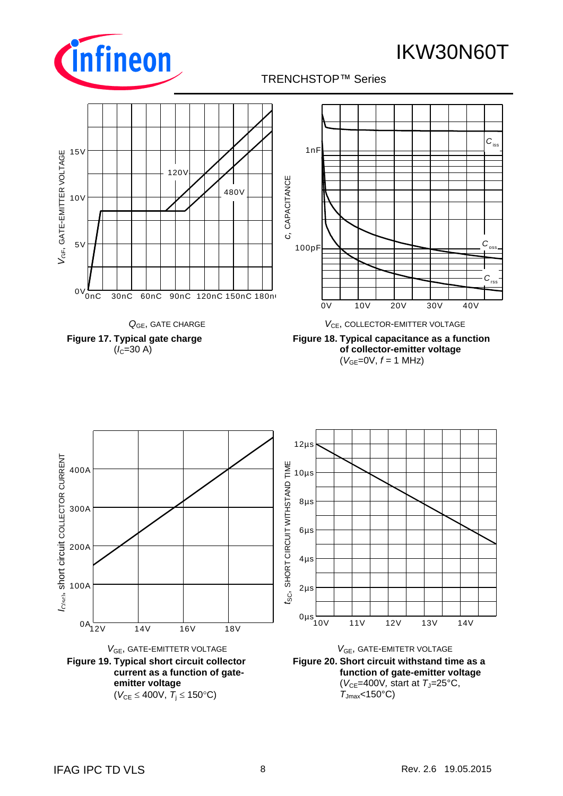









**Figure 18. Typical capacitance as a function of collector-emitter voltage**  $(V_{GE}=0V, f = 1 MHz)$ 

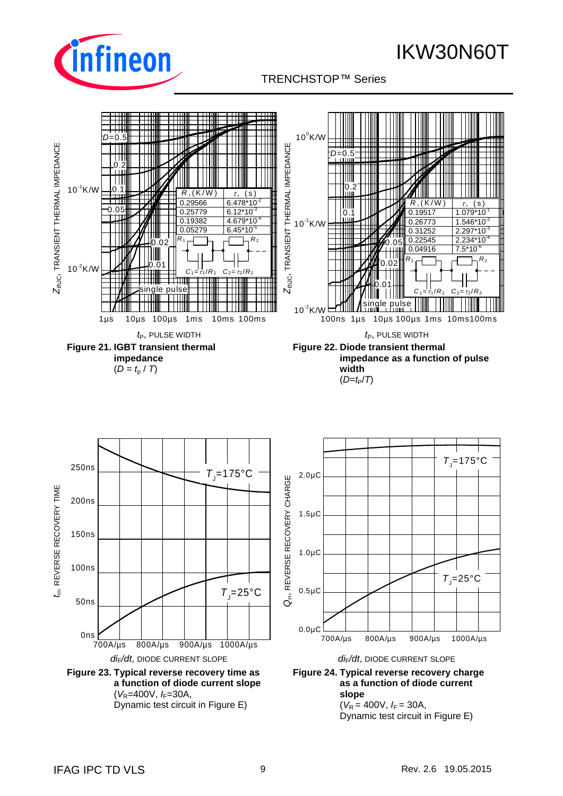

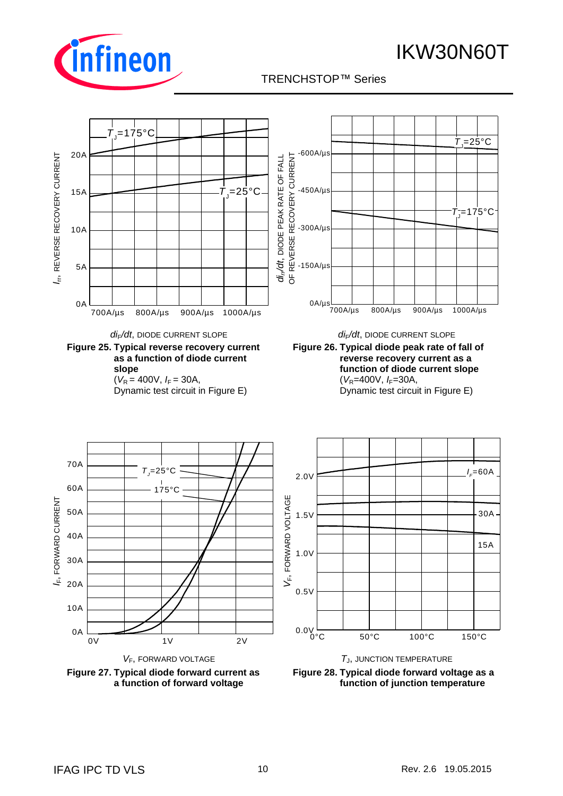

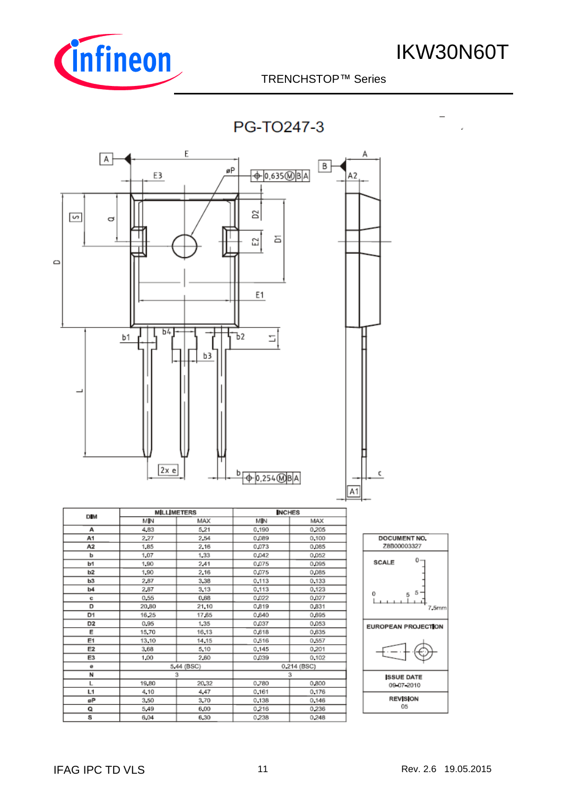

TRENCHSTOP™ Series q

**PG-TO247-3** 

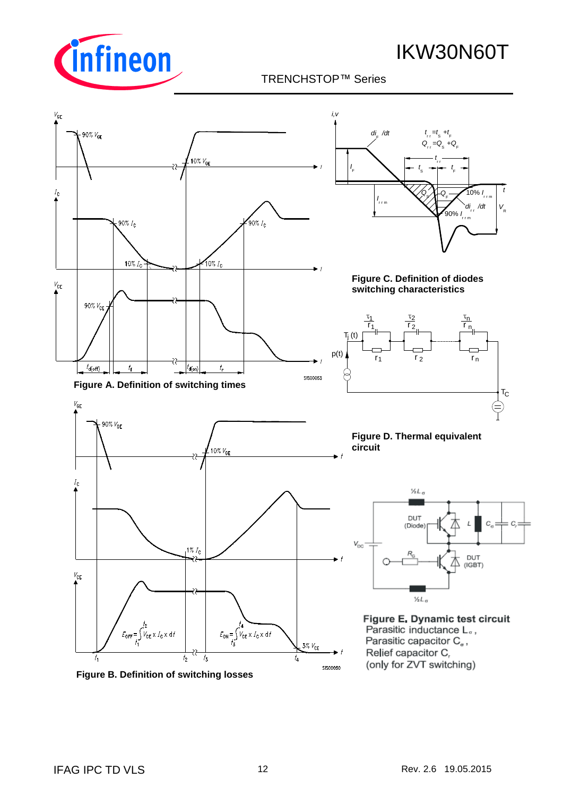



**Figure B. Definition of switching losses**